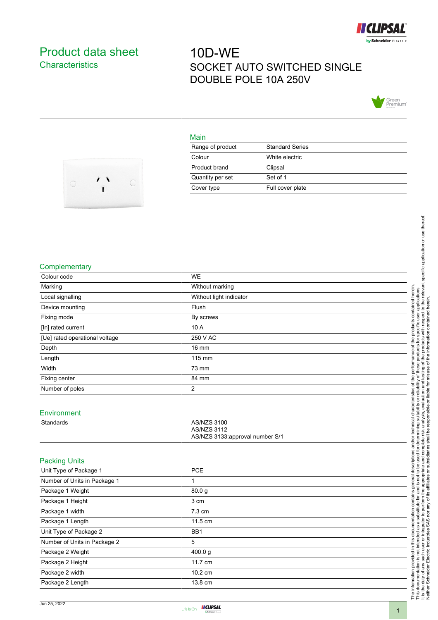

## <span id="page-0-0"></span>Product data sheet **Characteristics**

# 10D-WE SOCKET AUTO SWITCHED SINGLE DOUBLE POLE 10A 250V



#### Main

| Range of product | <b>Standard Series</b> |
|------------------|------------------------|
| Colour           | White electric         |
| Product brand    | Clipsal                |
| Quantity per set | Set of 1               |
| Cover type       | Full cover plate       |



#### **Complementary**

| Colour code                    | <b>WE</b>                                                            |
|--------------------------------|----------------------------------------------------------------------|
| Marking                        | Without marking                                                      |
| Local signalling               | Without light indicator                                              |
| Device mounting                | Flush                                                                |
| Fixing mode                    | By screws                                                            |
| [In] rated current             | 10 A                                                                 |
| [Ue] rated operational voltage | 250 V AC                                                             |
| Depth                          | <b>16 mm</b>                                                         |
| Length                         | 115 mm                                                               |
| Width                          | 73 mm                                                                |
| Fixing center                  | 84 mm                                                                |
| Number of poles                | 2                                                                    |
| Environment                    |                                                                      |
| Standards                      | AS/NZS 3100<br><b>AS/NZS 3112</b><br>AS/NZS 3133:approval number S/1 |
| <b>Packing Units</b>           |                                                                      |
| Unit Type of Package 1         | <b>PCE</b>                                                           |
| Number of Units in Package 1   | 1                                                                    |
| Package 1 Weight               | 80.0g                                                                |
| Package 1 Height               | 3 cm                                                                 |
| Package 1 width                | 7.3 cm                                                               |
| Package 1 Length               | 11.5 cm                                                              |
| Unit Type of Package 2         | BB <sub>1</sub>                                                      |
| Number of Units in Package 2   | 5                                                                    |
| Package 2 Weight               | 400.0 g                                                              |
| Package 2 Height               | 11.7 cm                                                              |
| Package 2 width                | 10.2 cm                                                              |
| Package 2 Length               | 13.8 cm                                                              |
|                                |                                                                      |